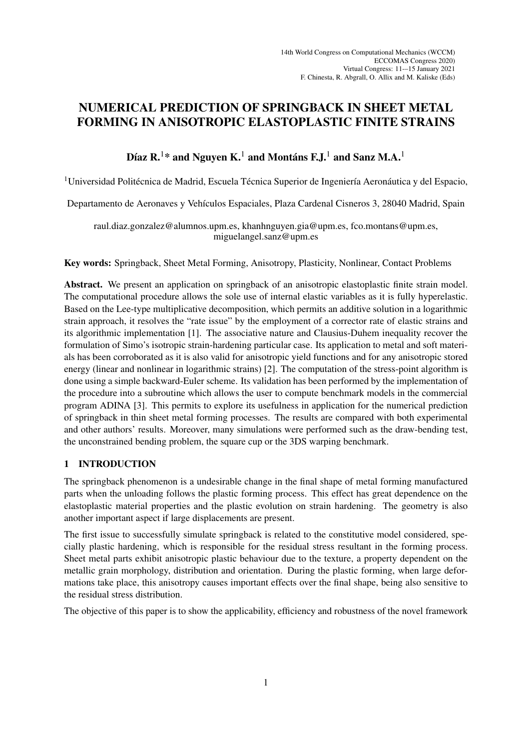# NUMERICAL PREDICTION OF SPRINGBACK IN SHEET METAL FORMING IN ANISOTROPIC ELASTOPLASTIC FINITE STRAINS

# Díaz R.<sup>1</sup>\* and Nguyen K.<sup>1</sup> and Montáns F.J.<sup>1</sup> and Sanz M.A.<sup>1</sup>

 $1$ Universidad Politécnica de Madrid, Escuela Técnica Superior de Ingeniería Aeronáutica y del Espacio,

Departamento de Aeronaves y Vehículos Espaciales, Plaza Cardenal Cisneros 3, 28040 Madrid, Spain

raul.diaz.gonzalez@alumnos.upm.es, khanhnguyen.gia@upm.es, fco.montans@upm.es, miguelangel.sanz@upm.es

Key words: Springback, Sheet Metal Forming, Anisotropy, Plasticity, Nonlinear, Contact Problems

Abstract. We present an application on springback of an anisotropic elastoplastic finite strain model. The computational procedure allows the sole use of internal elastic variables as it is fully hyperelastic. Based on the Lee-type multiplicative decomposition, which permits an additive solution in a logarithmic strain approach, it resolves the "rate issue" by the employment of a corrector rate of elastic strains and its algorithmic implementation [1]. The associative nature and Clausius-Duhem inequality recover the formulation of Simo's isotropic strain-hardening particular case. Its application to metal and soft materials has been corroborated as it is also valid for anisotropic yield functions and for any anisotropic stored energy (linear and nonlinear in logarithmic strains) [2]. The computation of the stress-point algorithm is done using a simple backward-Euler scheme. Its validation has been performed by the implementation of the procedure into a subroutine which allows the user to compute benchmark models in the commercial program ADINA [3]. This permits to explore its usefulness in application for the numerical prediction of springback in thin sheet metal forming processes. The results are compared with both experimental and other authors' results. Moreover, many simulations were performed such as the draw-bending test, the unconstrained bending problem, the square cup or the 3DS warping benchmark.

# 1 INTRODUCTION

The springback phenomenon is a undesirable change in the final shape of metal forming manufactured parts when the unloading follows the plastic forming process. This effect has great dependence on the elastoplastic material properties and the plastic evolution on strain hardening. The geometry is also another important aspect if large displacements are present.

The first issue to successfully simulate springback is related to the constitutive model considered, specially plastic hardening, which is responsible for the residual stress resultant in the forming process. Sheet metal parts exhibit anisotropic plastic behaviour due to the texture, a property dependent on the metallic grain morphology, distribution and orientation. During the plastic forming, when large deformations take place, this anisotropy causes important effects over the final shape, being also sensitive to the residual stress distribution.

The objective of this paper is to show the applicability, efficiency and robustness of the novel framework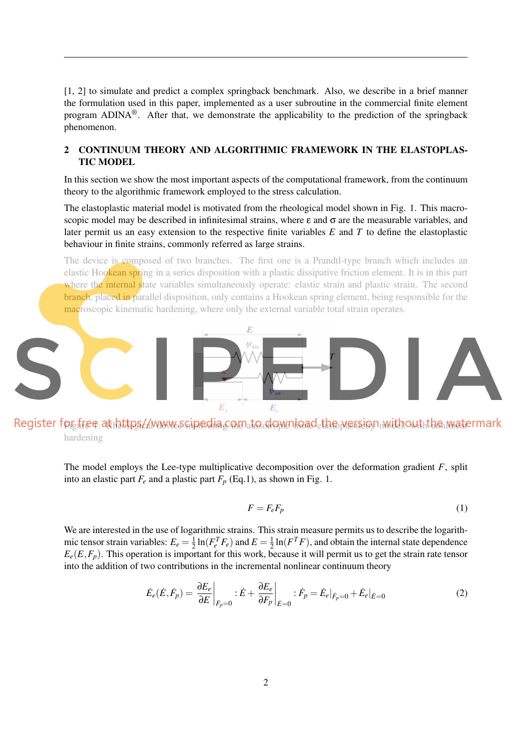[1, 2] to simulate and predict a complex springback benchmark. Also, we describe in a brief manner the formulation used in this paper, implemented as a user subroutine in the commercial finite element program ADINA<sup>®</sup>. After that, we demonstrate the applicability to the prediction of the springback phenomenon.

## 2 CONTINUUM THEORY AND ALGORITHMIC FRAMEWORK IN THE ELASTOPLAS-TIC MODEL

In this section we show the most important aspects of the computational framework, from the continuum theory to the algorithmic framework employed to the stress calculation.

The elastoplastic material model is motivated from the rheological model shown in Fig. 1. This macroscopic model may be described in infinitesimal strains, where  $\varepsilon$  and  $\sigma$  are the measurable variables, and later permit us an easy extension to the respective finite variables *E* and *T* to define the elastoplastic behaviour in finite strains, commonly referred as large strains.

The device is composed of two branches. The first one is a Prandtl-type branch which includes an elastic Hookean spring in a series disposition with a plastic dissipative friction element. It is in this part where the internal state variables simultaneously operate: elastic strain and plastic strain. The second branch, placed in parallel disposition, only contains a Hookean spring element, being responsible for the macroscopic kinematic hardening, where only the external variable total strain operates.



Register for free at https//www.scipedia.com to download the wersion with out the watermark hardening

The model employs the Lee-type multiplicative decomposition over the deformation gradient *F*, split into an elastic part  $F_e$  and a plastic part  $F_p$  (Eq.1), as shown in Fig. 1.

$$
F = F_e F_p \tag{1}
$$

We are interested in the use of logarithmic strains. This strain measure permits us to describe the logarithmic tensor strain variables:  $E_e = \frac{1}{2}$  $\frac{1}{2}$  ln( $F_e^T F_e$ ) and  $E = \frac{1}{2}$  $\frac{1}{2} \ln(F^T F)$ , and obtain the internal state dependence  $E_e(E, F_p)$ . This operation is important for this work, because it will permit us to get the strain rate tensor into the addition of two contributions in the incremental nonlinear continuum theory

$$
\dot{E}_e(\dot{E}, \dot{F}_p) = \frac{\partial E_e}{\partial E}\bigg|_{\dot{F}_p=0} : \dot{E} + \frac{\partial E_e}{\partial F_p}\bigg|_{\dot{E}=0} : \dot{F}_p = \dot{E}_e|_{\dot{F}_p=0} + \dot{E}_e|_{\dot{E}=0}
$$
\n(2)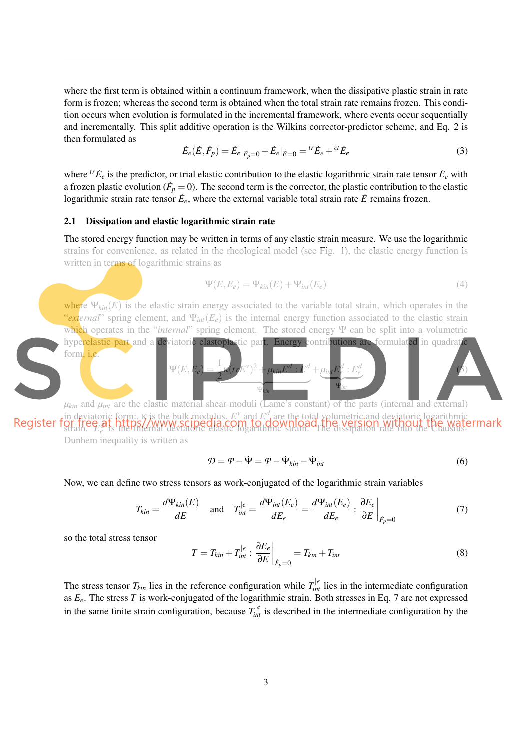where the first term is obtained within a continuum framework, when the dissipative plastic strain in rate form is frozen; whereas the second term is obtained when the total strain rate remains frozen. This condition occurs when evolution is formulated in the incremental framework, where events occur sequentially and incrementally. This split additive operation is the Wilkins corrector-predictor scheme, and Eq. 2 is then formulated as

$$
\dot{E}_e(\dot{E}, \dot{F}_p) = \dot{E}_e|_{\dot{F}_p=0} + \dot{E}_e|_{\dot{E}=0} = {}^{tr}\dot{E}_e + {}^{ct}\dot{E}_e
$$
\n(3)

where <sup>tr</sup> $\dot{E}_e$  is the predictor, or trial elastic contribution to the elastic logarithmic strain rate tensor  $\dot{E}_e$  with a frozen plastic evolution ( $\dot{F}_p = 0$ ). The second term is the corrector, the plastic contribution to the elastic logarithmic strain rate tensor  $\dot{E}_e$ , where the external variable total strain rate  $\dot{E}$  remains frozen.

#### 2.1 Dissipation and elastic logarithmic strain rate

The stored energy function may be written in terms of any elastic strain measure. We use the logarithmic strains for convenience, as related in the rheological model (see Fig. 1), the elastic energy function is written in terms of logarithmic strains as

$$
\Psi(E, E_e) = \Psi_{kin}(E) + \Psi_{int}(E_e)
$$
\n(4)

where  $\Psi_{kin}(E)$  is the elastic strain energy associated to the variable total strain, which operates in the "*external*" spring element, and Ψ*int*(*Ee*) is the internal energy function associated to the elastic strain which operates in the "*internal*" spring element. The stored energy Ψ can be split into a volumetric



 $\mu_{kin}$  and  $\mu_{int}$  are the elastic material shear moduli (Lame's constant) of the parts (internal and external)

in deviatoric form:,  $\kappa$  is the bulk modulus.  $E^{\nu}$  and  $E^d$  are the total volumetric and deviatoric logarithmic strain. *E d e* is the internal deviatoric elastic logarithmic strain. The dissipation rate into the Clausius-Dunhem inequality is written as

$$
\mathcal{D} = \mathcal{P} - \dot{\Psi} = \mathcal{P} - \dot{\Psi}_{kin} - \dot{\Psi}_{int}
$$
\n(6)

#### Now, we can define two stress tensors as work-conjugated of the logarithmic strain variables

$$
T_{kin} = \frac{d\Psi_{kin}(E)}{dE} \quad \text{and} \quad T_{int}^{|e|} = \frac{d\Psi_{int}(E_e)}{dE_e} = \frac{d\Psi_{int}(E_e)}{dE_e} : \frac{\partial E_e}{\partial E}\Big|_{\dot{F}_p = 0} \tag{7}
$$

so the total stress tensor

$$
T = T_{kin} + T_{int}^{|e|} \cdot \left. \frac{\partial E_e}{\partial E} \right|_{\dot{F}_p = 0} = T_{kin} + T_{int}
$$
 (8)

The stress tensor  $T_{kin}$  lies in the reference configuration while  $T_{int}^{\vert e \vert}$  lies in the intermediate configuration as *Ee*. The stress *T* is work-conjugated of the logarithmic strain. Both stresses in Eq. 7 are not expressed in the same finite strain configuration, because  $T_{int}^{|e|}$  is described in the intermediate configuration by the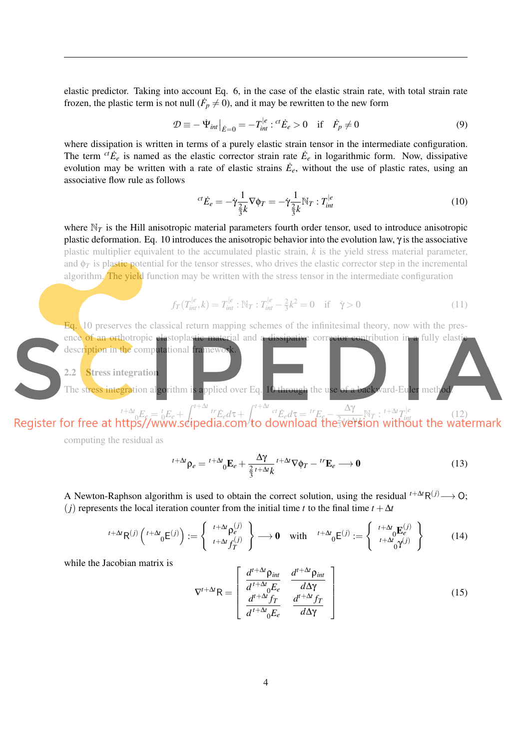elastic predictor. Taking into account Eq. 6, in the case of the elastic strain rate, with total strain rate frozen, the plastic term is not null ( $\dot{F}_p \neq 0$ ), and it may be rewritten to the new form

$$
\mathcal{D} \equiv -\dot{\Psi}_{int}|_{\dot{E}=0} = -T_{int}^{|e|} : {}^{ct}\dot{E}_e > 0 \quad \text{if} \quad \dot{F}_p \neq 0 \tag{9}
$$

where dissipation is written in terms of a purely elastic strain tensor in the intermediate configuration. The term  ${}^{ct}\dot{E}_e$  is named as the elastic corrector strain rate  $\dot{E}_e$  in logarithmic form. Now, dissipative evolution may be written with a rate of elastic strains  $\dot{E}_e$ , without the use of plastic rates, using an associative flow rule as follows

$$
^{ct}\dot{E}_e = -\dot{\gamma}\frac{1}{\frac{2}{3}k}\nabla\phi_T = -\dot{\gamma}\frac{1}{\frac{2}{3}k}\mathbb{N}_T : T_{int}^{|e|} \tag{10}
$$

where  $N_T$  is the Hill anisotropic material parameters fourth order tensor, used to introduce anisotropic plastic deformation. Eq. 10 introduces the anisotropic behavior into the evolution law, γ is the associative plastic multiplier equivalent to the accumulated plastic strain, *k* is the yield stress material parameter, and  $\phi_T$  is plastic potential for the tensor stresses, who drives the elastic corrector step in the incremental algorithm. The yield function may be written with the stress tensor in the intermediate configuration

$$
f_T(T_{int}^{|e}, k) = T_{int}^{|e} : \mathbb{N}_T : T_{int}^{|e} - \frac{2}{3}k^2 = 0 \quad \text{if} \quad \dot{\gamma} > 0 \tag{11}
$$

Eq. 10 preserves the classical return mapping schemes of the infinitesimal theory, now with the presence of an orthotropic elastoplastic material and a dissipative corrector contribution in a fully elastic description in the computational framewo

2.2 Stress integration

The stress integration algorithm is applied over Eq. 10 through the use of a backward-Euler method.

 $t^{+\Delta t}$ <sub>*d*</sub> $E_e = t^t e^t +$  $\int_0^t$ <sup>t+∆*t*</sup> *t*<sup>+∆*t*</sup> *tr*<sub>Èe</sub>*d*τ+ *f*<sup>t+∆*t*</sup><br>ipedia.com<sup>,</sup>to c  $\int_0^{ct} \dot{E}_e d\tau = \frac{tr}{E_e - \frac{1}{2}}$ ∆γ  $\frac{\Delta \gamma}{\frac{2}{3}}$ te to  $\frac{N_T}{T}$  :  $\frac{t+\Delta t}{T_{int}^{1/e}}$  (12)<br> *thout the wate* 

computing the residual as

$$
{}^{t+\Delta t}\rho_e = {}^{t+\Delta t}{}_0 \mathbf{E}_e + \frac{\Delta \gamma}{\frac{2}{3}t+\Delta t} {}^{t+\Delta t}\nabla \phi_T - {}^{t\mathbf{r}}\mathbf{E}_e \longrightarrow \mathbf{0}
$$
\n(13)

A Newton-Raphson algorithm is used to obtain the correct solution, using the residual  $t^{+\Delta t}R^{(j)} \rightarrow Q$ ; (*j*) represents the local iteration counter from the initial time *t* to the final time  $t + \Delta t$ 

$$
{}^{t+\Delta t}\mathsf{R}^{(j)}\left({}^{t+\Delta t}_{0}\mathsf{E}^{(j)}\right):=\left\{\begin{array}{c} {}^{t+\Delta t}\rho_{e}^{(j)} \\ {}^{t+\Delta t}f_{T}^{(j)} \end{array}\right\}\longrightarrow\mathbf{0} \quad\text{with}\quad {}^{t+\Delta t}_{0}\mathsf{E}^{(j)}:=\left\{\begin{array}{c} {}^{t+\Delta t}_{0}\mathsf{E}_{e}^{(j)} \\ {}^{t+\Delta t}_{0}\gamma^{(j)} \end{array}\right\}\tag{14}
$$

while the Jacobian matrix is

$$
\nabla^{t+\Delta t} \mathsf{R} = \begin{bmatrix} \frac{d^{t+\Delta t} \rho_{int}}{d^{t+\Delta t} \rho_{\epsilon}} & \frac{d^{t+\Delta t} \rho_{int}}{d\Delta \gamma} \\ \frac{d^{t+\Delta t} f_T}{d^{t+\Delta t} \rho_{\epsilon}} & \frac{d^{t+\Delta t} f_T}{d\Delta \gamma} \end{bmatrix}
$$
(15)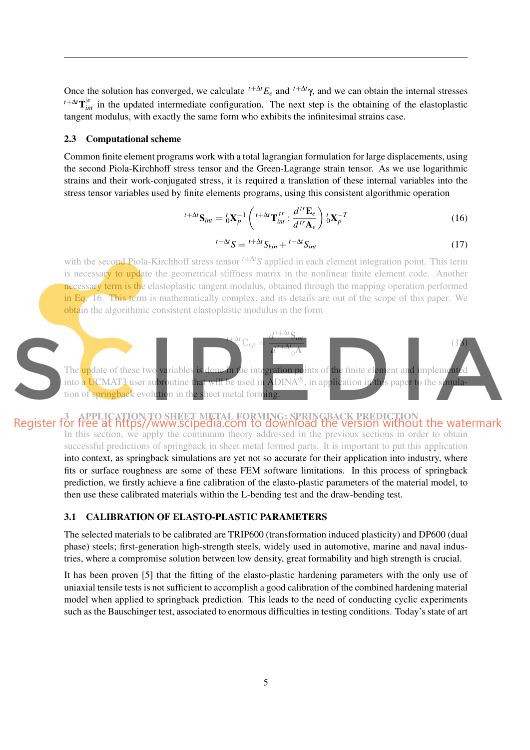Once the solution has converged, we calculate  $t^{+\Delta t}E_e$  and  $t^{+\Delta t}\gamma$ , and we can obtain the internal stresses  $t + \Delta t$ <sup>le</sup> in the updated intermediate configuration. The next step is the obtaining of the elastoplastic tangent modulus, with exactly the same form who exhibits the infinitesimal strains case.

#### 2.3 Computational scheme

Common finite element programs work with a total lagrangian formulation for large displacements, using the second Piola-Kirchhoff stress tensor and the Green-Lagrange strain tensor. As we use logarithmic strains and their work-conjugated stress, it is required a translation of these internal variables into the stress tensor variables used by finite elements programs, using this consistent algorithmic operation

$$
{}^{t+\Delta t}\mathbf{S}_{int} = {}^{t}_{0}\mathbf{X}_{p}^{-1}\left({}^{t+\Delta t}\mathbf{T}_{int}^{\dagger r} : \frac{d^{tr}\mathbf{E}_{e}}{d^{tr}\mathbf{A}_{e}}\right){}^{t}_{0}\mathbf{X}_{p}^{-T}
$$
(16)

$$
{}^{t+\Delta t}S = {}^{t+\Delta t}S_{kin} + {}^{t+\Delta t}S_{int}
$$
 (17)

with the second Piola-Kirchhoff stress tensor *<sup>t</sup>*+∆*tS* applied in each element integration point. This term is necessary to update the geometrical stiffness matrix in the nonlinear finite element code. Another necessary term is the elastoplastic tangent modulus, obtained through the mapping operation performed in Eq. 16. This term is mathematically complex, and its details are out of the scope of this paper. We obtain the algorithmic consistent elastoplastic modulus in the form



Register for free at https//www.scipedia.com to download the version without the watermark In this section, we apply the continuum theory addressed in the previous sections in order to obtain successful predictions of springback in sheet metal formed parts. It is important to put this application into context, as springback simulations are yet not so accurate for their application into industry, where fits or surface roughness are some of these FEM software limitations. In this process of springback prediction, we firstly achieve a fine calibration of the elasto-plastic parameters of the material model, to then use these calibrated materials within the L-bending test and the draw-bending test.

## 3.1 CALIBRATION OF ELASTO-PLASTIC PARAMETERS

The selected materials to be calibrated are TRIP600 (transformation induced plasticity) and DP600 (dual phase) steels; first-generation high-strength steels, widely used in automotive, marine and naval industries, where a compromise solution between low density, great formability and high strength is crucial.

It has been proven [5] that the fitting of the elasto-plastic hardening parameters with the only use of uniaxial tensile tests is not sufficient to accomplish a good calibration of the combined hardening material model when applied to springback prediction. This leads to the need of conducting cyclic experiments such as the Bauschinger test, associated to enormous difficulties in testing conditions. Today's state of art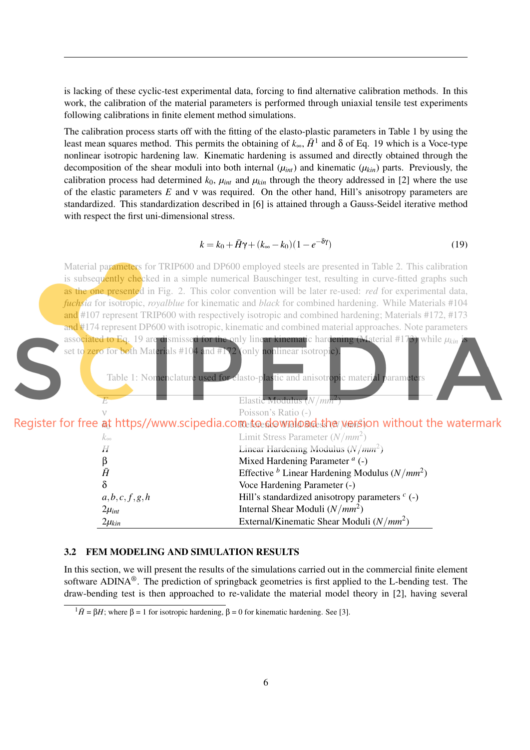is lacking of these cyclic-test experimental data, forcing to find alternative calibration methods. In this work, the calibration of the material parameters is performed through uniaxial tensile test experiments following calibrations in finite element method simulations.

The calibration process starts off with the fitting of the elasto-plastic parameters in Table 1 by using the least mean squares method. This permits the obtaining of  $k_{\infty}$ ,  $\bar{H}^1$  and  $\delta$  of Eq. 19 which is a Voce-type nonlinear isotropic hardening law. Kinematic hardening is assumed and directly obtained through the decomposition of the shear moduli into both internal  $(\mu_{int})$  and kinematic  $(\mu_{kin})$  parts. Previously, the calibration process had determined  $k_0$ ,  $\mu_{int}$  and  $\mu_{kin}$  through the theory addressed in [2] where the use of the elastic parameters *E* and ν was required. On the other hand, Hill's anisotropy parameters are standardized. This standardization described in [6] is attained through a Gauss-Seidel iterative method with respect the first uni-dimensional stress.

$$
k = k_0 + \bar{H}\gamma + (k_\infty - k_0)(1 - e^{-\delta\gamma})\tag{19}
$$

Material parameters for TRIP600 and DP600 employed steels are presented in Table 2. This calibration is subsequently checked in a simple numerical Bauschinger test, resulting in curve-fitted graphs such as the one presented in Fig. 2. This color convention will be later re-used: *red* for experimental data, *fuchsia* for isotropic, *royalblue* for kinematic and *black* for combined hardening. While Materials #104 and #107 represent TRIP600 with respectively isotropic and combined hardening; Materials #172, #173 and #174 represent DP600 with isotropic, kinematic and combined material approaches. Note parameters associated to Eq. 19 are dismissed for the only linear kinematic hardening (Material #173) while  $\mu_{kin}$ set to zero for both Materials #104 and #172 (only nonlinear isotropic).



at https//www.scipedia.cometoedownlogdeth<del>e</del>ryersi

| $k_{\infty}$ | Limit Stress Parameter $(N/mm^2)$                    |
|--------------|------------------------------------------------------|
| H            | Linear Hardening Modulus $(N/mm^2)$                  |
| β            | Mixed Hardening Parameter $a$ (-)                    |
| $\bar{H}$    | Effective $^b$ Linear Hardening Modulus ( $N/mm^2$ ) |
| δ            | Voce Hardening Parameter (-)                         |
| a,b,c,f,g,h  | Hill's standardized anisotropy parameters $c$ (-)    |
| $2\mu_{int}$ | Internal Shear Moduli $(N/mm^2)$                     |
| $2\mu_{kin}$ | External/Kinematic Shear Moduli $(N/mm^2)$           |

## 3.2 FEM MODELING AND SIMULATION RESULTS

In this section, we will present the results of the simulations carried out in the commercial finite element software ADINA®. The prediction of springback geometries is first applied to the L-bending test. The draw-bending test is then approached to re-validate the material model theory in [2], having several

 $1\bar{H} = 8H$ ; where  $\beta = 1$  for isotropic hardening,  $\beta = 0$  for kinematic hardening. See [3].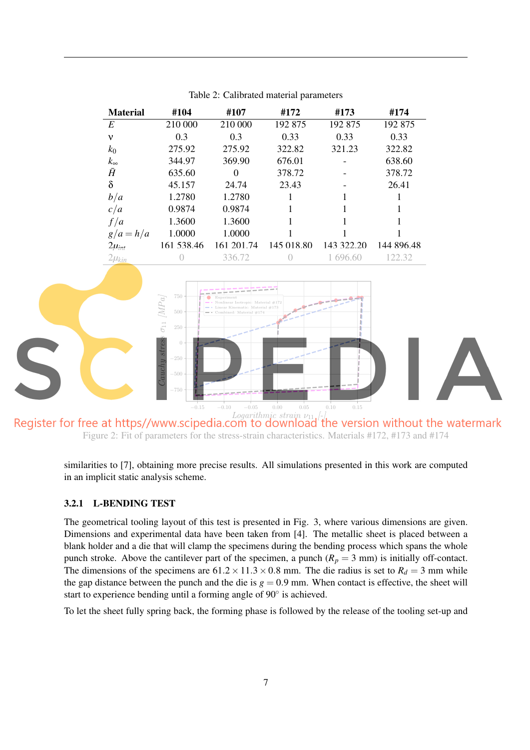| <b>Material</b> | #104       | #107       | #172       | #173       | #174       |
|-----------------|------------|------------|------------|------------|------------|
| E               | 210 000    | 210 000    | 192 875    | 192 875    | 192 875    |
| ν               | 0.3        | 0.3        | 0.33       | 0.33       | 0.33       |
| $k_0$           | 275.92     | 275.92     | 322.82     | 321.23     | 322.82     |
| $k_{\infty}$    | 344.97     | 369.90     | 676.01     |            | 638.60     |
| Ā               | 635.60     | $\Omega$   | 378.72     |            | 378.72     |
| δ               | 45.157     | 24.74      | 23.43      |            | 26.41      |
| b/a             | 1.2780     | 1.2780     |            |            |            |
| c/a             | 0.9874     | 0.9874     |            |            |            |
| f/a             | 1.3600     | 1.3600     |            |            |            |
| $g/a = h/a$     | 1.0000     | 1.0000     |            |            |            |
| $2\mu_{int}$    | 161 538.46 | 161 201.74 | 145 018.80 | 143 322.20 | 144 896.48 |
| $2\mu_{kin}$    |            | 336.72     |            | 1 696.60   | 122.32     |

Table 2: Calibrated material parameters



Figure 2: Fit of parameters for the stress-strain characteristics. Materials #172, #173 and #174

similarities to [7], obtaining more precise results. All simulations presented in this work are computed in an implicit static analysis scheme.

### 3.2.1 L-BENDING TEST

The geometrical tooling layout of this test is presented in Fig. 3, where various dimensions are given. Dimensions and experimental data have been taken from [4]. The metallic sheet is placed between a blank holder and a die that will clamp the specimens during the bending process which spans the whole punch stroke. Above the cantilever part of the specimen, a punch  $(R_p = 3 \text{ mm})$  is initially off-contact. The dimensions of the specimens are  $61.2 \times 11.3 \times 0.8$  mm. The die radius is set to  $R_d = 3$  mm while the gap distance between the punch and the die is  $g = 0.9$  mm. When contact is effective, the sheet will start to experience bending until a forming angle of 90° is achieved.

To let the sheet fully spring back, the forming phase is followed by the release of the tooling set-up and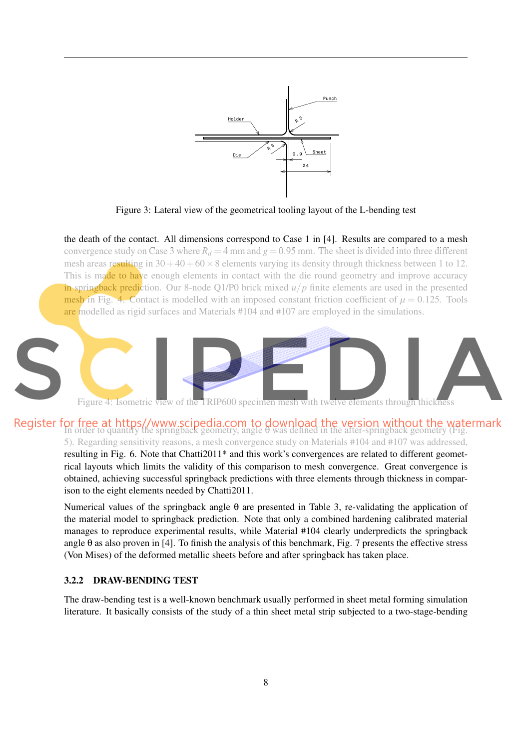

Figure 3: Lateral view of the geometrical tooling layout of the L-bending test

the death of the contact. All dimensions correspond to Case 1 in [4]. Results are compared to a mesh convergence study on Case 3 where  $R_d = 4$  mm and  $g = 0.95$  mm. The sheet is divided into three different mesh areas resulting in  $30+40+60\times 8$  elements varying its density through thickness between 1 to 12. This is made to have enough elements in contact with the die round geometry and improve accuracy in springback prediction. Our 8-node Q1/P0 brick mixed *u*/*p* finite elements are used in the presented mesh in Fig. 4. Contact is modelled with an imposed constant friction coefficient of  $\mu = 0.125$ . Tools are modelled as rigid surfaces and Materials #104 and #107 are employed in the simulations.



Figure 4: Isometric view of the TRIP600 specimen mesh with twelve elements through thickness

Register for free at https//www.scipedia.com to download the version without the watermark<br>In order to quantify the springback geometry, angle θ was defined in the after-springback geometry (Fig. 5). Regarding sensitivity reasons, a mesh convergence study on Materials #104 and #107 was addressed,

> resulting in Fig. 6. Note that Chatti2011\* and this work's convergences are related to different geometrical layouts which limits the validity of this comparison to mesh convergence. Great convergence is obtained, achieving successful springback predictions with three elements through thickness in comparison to the eight elements needed by Chatti2011.

> Numerical values of the springback angle θ are presented in Table 3, re-validating the application of the material model to springback prediction. Note that only a combined hardening calibrated material manages to reproduce experimental results, while Material #104 clearly underpredicts the springback angle θ as also proven in [4]. To finish the analysis of this benchmark, Fig. 7 presents the effective stress (Von Mises) of the deformed metallic sheets before and after springback has taken place.

### 3.2.2 DRAW-BENDING TEST

The draw-bending test is a well-known benchmark usually performed in sheet metal forming simulation literature. It basically consists of the study of a thin sheet metal strip subjected to a two-stage-bending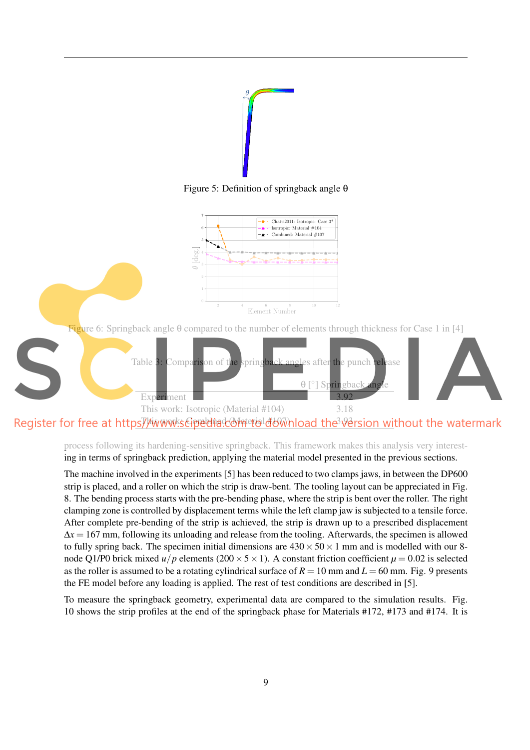

Figure 5: Definition of springback angle θ



process following its hardening-sensitive springback. This framework makes this analysis very interesting in terms of springback prediction, applying the material model presented in the previous sections.

The machine involved in the experiments [5] has been reduced to two clamps jaws, in between the DP600 strip is placed, and a roller on which the strip is draw-bent. The tooling layout can be appreciated in Fig. 8. The bending process starts with the pre-bending phase, where the strip is bent over the roller. The right clamping zone is controlled by displacement terms while the left clamp jaw is subjected to a tensile force. After complete pre-bending of the strip is achieved, the strip is drawn up to a prescribed displacement  $\Delta x = 167$  mm, following its unloading and release from the tooling. Afterwards, the specimen is allowed to fully spring back. The specimen initial dimensions are  $430 \times 50 \times 1$  mm and is modelled with our 8node Q1/P0 brick mixed  $u/p$  elements (200  $\times$  5  $\times$  1). A constant friction coefficient  $\mu$  = 0.02 is selected as the roller is assumed to be a rotating cylindrical surface of  $R = 10$  mm and  $L = 60$  mm. Fig. 9 presents the FE model before any loading is applied. The rest of test conditions are described in [5].

To measure the springback geometry, experimental data are compared to the simulation results. Fig. 10 shows the strip profiles at the end of the springback phase for Materials #172, #173 and #174. It is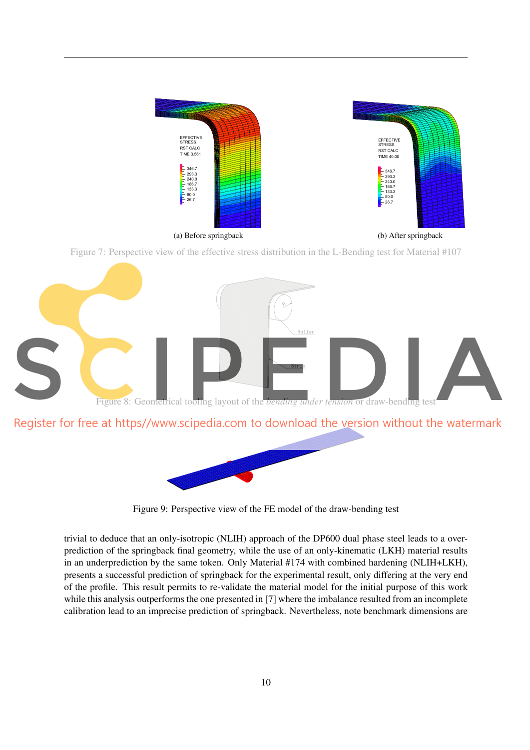

Figure 7: Perspective view of the effective stress distribution in the L-Bending test for Material #107





Figure 9: Perspective view of the FE model of the draw-bending test

trivial to deduce that an only-isotropic (NLIH) approach of the DP600 dual phase steel leads to a overprediction of the springback final geometry, while the use of an only-kinematic (LKH) material results in an underprediction by the same token. Only Material #174 with combined hardening (NLIH+LKH), presents a successful prediction of springback for the experimental result, only differing at the very end of the profile. This result permits to re-validate the material model for the initial purpose of this work while this analysis outperforms the one presented in [7] where the imbalance resulted from an incomplete calibration lead to an imprecise prediction of springback. Nevertheless, note benchmark dimensions are